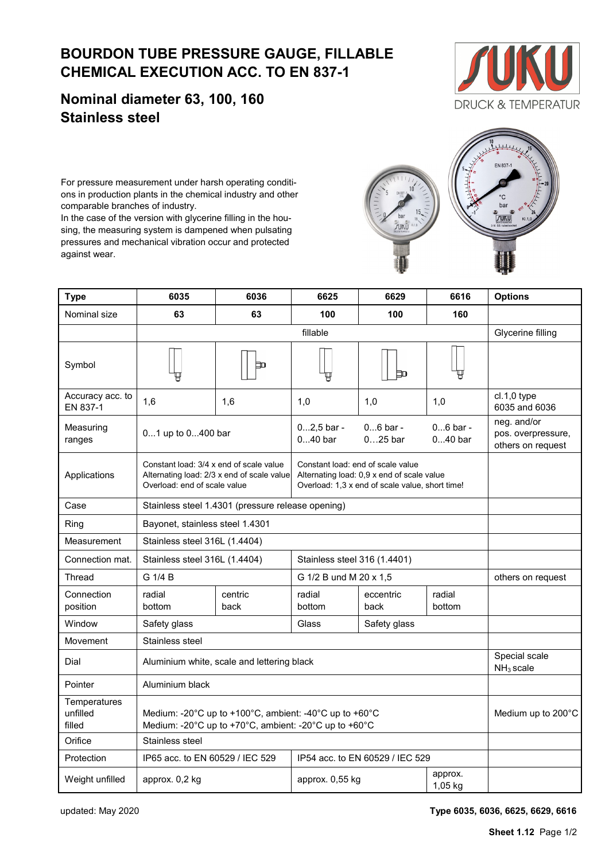## **BOURDON TUBE PRESSURE GAUGE, FILLABLE CHEMICAL EXECUTION ACC. TO EN 837-1**

**Nominal diameter 63, 100, 160 Stainless steel**

For pressure measurement under harsh operating conditions in production plants in the chemical industry and other comparable branches of industry.

In the case of the version with glycerine filling in the housing, the measuring system is dampened when pulsating pressures and mechanical vibration occur and protected against wear.

| Nominal size                       | 63                                                                                                                    | 63                                                                                                              | 100                                                                                           | 100                     | 160                     |                                                        |  |
|------------------------------------|-----------------------------------------------------------------------------------------------------------------------|-----------------------------------------------------------------------------------------------------------------|-----------------------------------------------------------------------------------------------|-------------------------|-------------------------|--------------------------------------------------------|--|
|                                    |                                                                                                                       |                                                                                                                 | Glycerine filling                                                                             |                         |                         |                                                        |  |
| Symbol                             |                                                                                                                       | Þ                                                                                                               |                                                                                               | Þ                       |                         |                                                        |  |
| Accuracy acc. to<br>EN 837-1       | 1,6                                                                                                                   | 1,6                                                                                                             | 1,0                                                                                           | 1,0                     | 1,0                     | $cl.1, 0$ type<br>6035 and 6036                        |  |
| Measuring<br>ranges                | 01 up to 0400 bar                                                                                                     |                                                                                                                 | $02,5$ bar -<br>$040$ bar                                                                     | $06$ bar -<br>$025$ bar | $06$ bar -<br>$040$ bar | neg. and/or<br>pos. overpressure,<br>others on request |  |
| Applications                       | Constant load: 3/4 x end of scale value<br>Alternating load: 2/3 x end of scale value<br>Overload: end of scale value | Constant load: end of scale value                                                                               | Alternating load: 0,9 x end of scale value<br>Overload: 1,3 x end of scale value, short time! |                         |                         |                                                        |  |
| Case                               | Stainless steel 1.4301 (pressure release opening)                                                                     |                                                                                                                 |                                                                                               |                         |                         |                                                        |  |
| Ring                               | Bayonet, stainless steel 1.4301                                                                                       |                                                                                                                 |                                                                                               |                         |                         |                                                        |  |
| Measurement                        | Stainless steel 316L (1.4404)                                                                                         |                                                                                                                 |                                                                                               |                         |                         |                                                        |  |
| Connection mat.                    | Stainless steel 316L (1.4404)                                                                                         |                                                                                                                 | Stainless steel 316 (1.4401)                                                                  |                         |                         |                                                        |  |
| Thread                             | G 1/4 B                                                                                                               |                                                                                                                 | G 1/2 B und M 20 x 1,5                                                                        |                         |                         | others on request                                      |  |
| Connection<br>position             | radial<br>bottom                                                                                                      | centric<br>back                                                                                                 | radial<br>bottom                                                                              | eccentric<br>back       | radial<br>bottom        |                                                        |  |
| Window                             | Safety glass                                                                                                          |                                                                                                                 | Safety glass<br>Glass                                                                         |                         |                         |                                                        |  |
| Movement                           | Stainless steel                                                                                                       |                                                                                                                 |                                                                                               |                         |                         |                                                        |  |
| Dial                               | Aluminium white, scale and lettering black                                                                            | Special scale<br>$NH3$ scale                                                                                    |                                                                                               |                         |                         |                                                        |  |
| Pointer                            | Aluminium black                                                                                                       |                                                                                                                 |                                                                                               |                         |                         |                                                        |  |
| Temperatures<br>unfilled<br>filled |                                                                                                                       | Medium: -20°C up to +100°C, ambient: -40°C up to +60°C<br>Medium: -20°C up to +70°C, ambient: -20°C up to +60°C |                                                                                               |                         |                         | Medium up to 200°C                                     |  |

Protection IP65 acc. to EN 60529 / IEC 529 IP54 acc. to EN 60529 / IEC 529

Weight unfilled approx. 0,2 kg and approx. 0,55 kg approx. 0,55 kg approx. 0,55 kg approx. 0.4 of the

**Type 6035 6036 6625 6629 6616 Options**





Orifice Stainless steel

updated: May 2020 **Type 6035, 6036, 6625, 6629, 6616**

1,05 kg